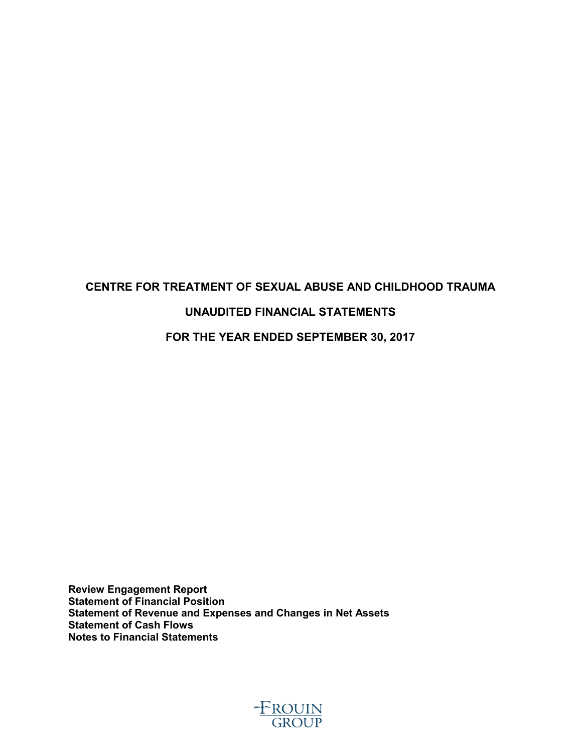# **CENTRE FOR TREATMENT OF SEXUAL ABUSE AND CHILDHOOD TRAUMA UNAUDITED FINANCIAL STATEMENTS FOR THE YEAR ENDED SEPTEMBER 30, 2017**

**Review Engagement Report Statement of Financial Position Statement of Revenue and Expenses and Changes in Net Assets Statement of Cash Flows Notes to Financial Statements**

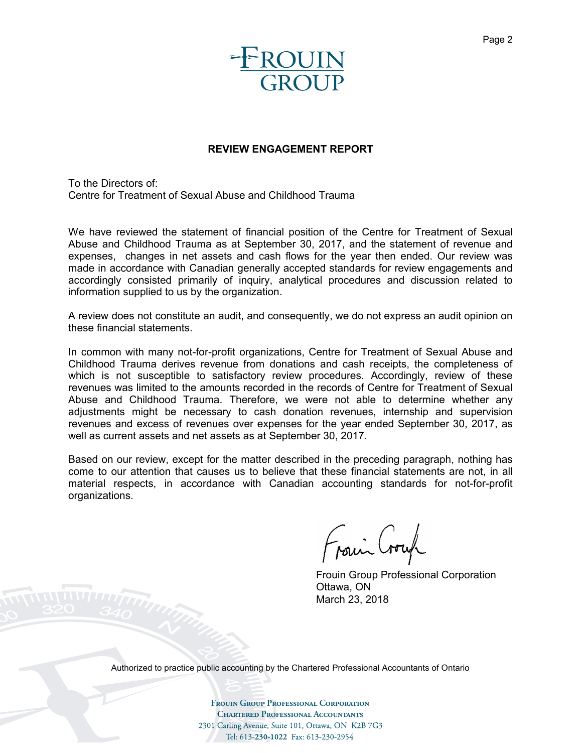

#### **REVIEW ENGAGEMENT REPORT**

To the Directors of: Centre for Treatment of Sexual Abuse and Childhood Trauma

We have reviewed the statement of financial position of the Centre for Treatment of Sexual Abuse and Childhood Trauma as at September 30, 2017, and the statement of revenue and expenses, changes in net assets and cash flows for the year then ended. Our review was made in accordance with Canadian generally accepted standards for review engagements and accordingly consisted primarily of inquiry, analytical procedures and discussion related to information supplied to us by the organization.

A review does not constitute an audit, and consequently, we do not express an audit opinion on these financial statements.

In common with many not-for-profit organizations, Centre for Treatment of Sexual Abuse and Childhood Trauma derives revenue from donations and cash receipts, the completeness of which is not susceptible to satisfactory review procedures. Accordingly, review of these revenues was limited to the amounts recorded in the records of Centre for Treatment of Sexual Abuse and Childhood Trauma. Therefore, we were not able to determine whether any adjustments might be necessary to cash donation revenues, internship and supervision revenues and excess of revenues over expenses for the year ended September 30, 2017, as well as current assets and net assets as at September 30, 2017.

Based on our review, except for the matter described in the preceding paragraph, nothing has come to our attention that causes us to believe that these financial statements are not, in all material respects, in accordance with Canadian accounting standards for not-for-profit organizations.

Frain Crown

Frouin Group Professional Corporation Ottawa, ON March 23, 2018

Authorized to practice public accounting by the Chartered Professional Accountants of Ontario

**Frouin Group Professional Corporation CHARTERED PROFESSIONAL ACCOUNTANTS** 2301 Carling Avenue, Suite 101, Ottawa, ON K2B 7G3 Tel: 613-230-1022 Fax: 613-230-2954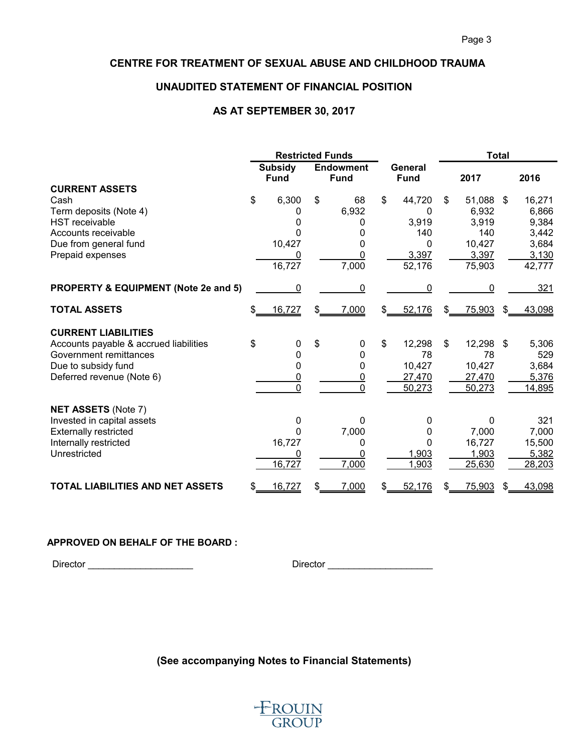#### **UNAUDITED STATEMENT OF FINANCIAL POSITION**

#### **AS AT SEPTEMBER 30, 2017**

|                                         | <b>Restricted Funds</b> |                               |     |                                 |     | <b>Total</b>           |     |        |     |        |
|-----------------------------------------|-------------------------|-------------------------------|-----|---------------------------------|-----|------------------------|-----|--------|-----|--------|
|                                         |                         | <b>Subsidy</b><br><b>Fund</b> |     | <b>Endowment</b><br><b>Fund</b> |     | General<br><b>Fund</b> |     | 2017   |     | 2016   |
| <b>CURRENT ASSETS</b>                   |                         |                               |     |                                 |     |                        |     |        |     |        |
| Cash                                    | \$                      | 6,300                         | \$  | 68                              | \$  | 44,720                 | \$  | 51,088 | \$  | 16,271 |
| Term deposits (Note 4)                  |                         | U                             |     | 6,932                           |     | 0                      |     | 6,932  |     | 6,866  |
| <b>HST</b> receivable                   |                         | 0                             |     | 0                               |     | 3,919                  |     | 3,919  |     | 9,384  |
| Accounts receivable                     |                         |                               |     | 0                               |     | 140                    |     | 140    |     | 3,442  |
| Due from general fund                   |                         | 10,427                        |     | 0                               |     | 0                      |     | 10,427 |     | 3,684  |
| Prepaid expenses                        |                         |                               |     | 0                               |     | 3,397                  |     | 3,397  |     | 3,130  |
|                                         |                         | 16,727                        |     | 7,000                           |     | 52,176                 |     | 75,903 |     | 42,777 |
| PROPERTY & EQUIPMENT (Note 2e and 5)    |                         | 0                             |     | 0                               |     | 0                      |     | 0      |     | 321    |
| <b>TOTAL ASSETS</b>                     |                         | 16,727                        | \$  | 7,000                           | \$. | 52,176                 | \$  | 75,903 | \$  | 43,098 |
| <b>CURRENT LIABILITIES</b>              |                         |                               |     |                                 |     |                        |     |        |     |        |
| Accounts payable & accrued liabilities  | \$                      | 0                             | \$  | 0                               | \$  | 12,298                 | \$  | 12,298 | \$  | 5,306  |
| Government remittances                  |                         | 0                             |     | 0                               |     | 78                     |     | 78     |     | 529    |
| Due to subsidy fund                     |                         | 0                             |     | 0                               |     | 10,427                 |     | 10,427 |     | 3,684  |
| Deferred revenue (Note 6)               |                         | 0                             |     | $\overline{0}$                  |     | 27,470                 |     | 27,470 |     | 5,376  |
|                                         |                         | $\Omega$                      |     | $\Omega$                        |     | 50,273                 |     | 50,273 |     | 14,895 |
| <b>NET ASSETS (Note 7)</b>              |                         |                               |     |                                 |     |                        |     |        |     |        |
| Invested in capital assets              |                         | 0                             |     | 0                               |     | 0                      |     | 0      |     | 321    |
| <b>Externally restricted</b>            |                         | 0                             |     | 7,000                           |     | 0                      |     | 7,000  |     | 7,000  |
| Internally restricted                   |                         | 16,727                        |     | 0                               |     | 0                      |     | 16,727 |     | 15,500 |
| Unrestricted                            |                         | 0                             |     | 0                               |     | 1,903                  |     | 1,903  |     | 5,382  |
|                                         |                         | 16,727                        |     | 7,000                           |     | 1,903                  |     | 25,630 |     | 28,203 |
| <b>TOTAL LIABILITIES AND NET ASSETS</b> | \$                      | 16,727                        | \$. | 7,000                           | \$  | 52,176                 | \$. | 75,903 | \$. | 43,098 |

#### **APPROVED ON BEHALF OF THE BOARD :**

Director \_\_\_\_\_\_\_\_\_\_\_\_\_\_\_\_\_\_\_\_ Director \_\_\_\_\_\_\_\_\_\_\_\_\_\_\_\_\_\_\_\_

# **(See accompanying Notes to Financial Statements)**

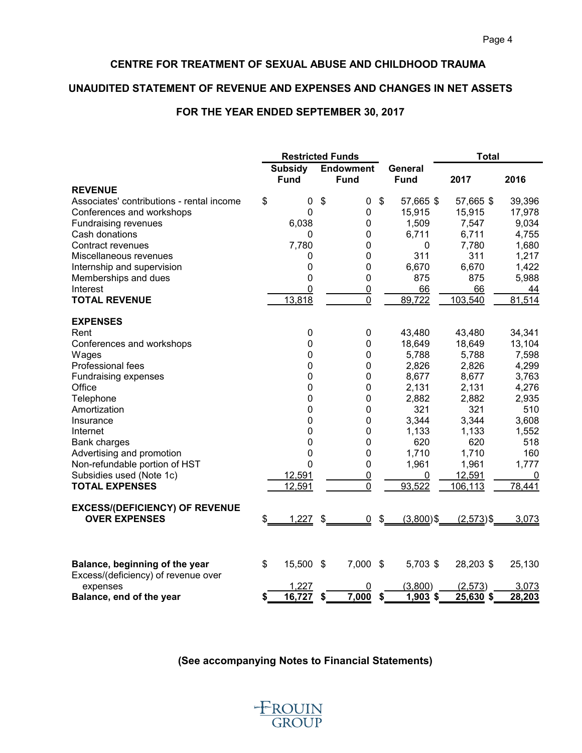### **UNAUDITED STATEMENT OF REVENUE AND EXPENSES AND CHANGES IN NET ASSETS**

# **FOR THE YEAR ENDED SEPTEMBER 30, 2017**

|                                                 |                               | <b>Restricted Funds</b>         |                                           | <b>Total</b> |        |  |
|-------------------------------------------------|-------------------------------|---------------------------------|-------------------------------------------|--------------|--------|--|
|                                                 | <b>Subsidy</b><br><b>Fund</b> | <b>Endowment</b><br><b>Fund</b> | General<br><b>Fund</b>                    | 2017         | 2016   |  |
| <b>REVENUE</b>                                  |                               |                                 |                                           |              |        |  |
| Associates' contributions - rental income       | \$<br>0                       | \$<br>0                         | \$<br>57,665 \$                           | 57,665 \$    | 39,396 |  |
| Conferences and workshops                       | 0                             | 0                               | 15,915                                    | 15,915       | 17,978 |  |
| <b>Fundraising revenues</b>                     | 6,038                         | 0                               | 1,509                                     | 7,547        | 9,034  |  |
| Cash donations                                  | 0                             | 0                               | 6,711                                     | 6,711        | 4,755  |  |
| Contract revenues                               | 7,780                         | 0                               | $\mathbf 0$                               | 7,780        | 1,680  |  |
| Miscellaneous revenues                          | 0                             | 0                               | 311                                       | 311          | 1,217  |  |
| Internship and supervision                      | 0                             | 0                               | 6,670                                     | 6,670        | 1,422  |  |
| Memberships and dues                            | 0                             | 0                               | 875                                       | 875          | 5,988  |  |
| Interest                                        | $\mathbf 0$                   | $\overline{0}$                  | 66                                        | 66           | 44     |  |
| <b>TOTAL REVENUE</b>                            | 13,818                        | 0                               | 89,722                                    | 103,540      | 81,514 |  |
| <b>EXPENSES</b>                                 |                               |                                 |                                           |              |        |  |
| Rent                                            | $\mathbf 0$                   | 0                               | 43,480                                    | 43,480       | 34,341 |  |
| Conferences and workshops                       | $\mathbf 0$                   | $\mathbf 0$                     | 18,649                                    | 18,649       | 13,104 |  |
| Wages                                           | $\mathbf 0$                   | $\mathbf 0$                     | 5,788                                     | 5,788        | 7,598  |  |
| Professional fees                               | 0                             | 0                               | 2,826                                     | 2,826        | 4,299  |  |
| Fundraising expenses                            | 0                             | 0                               | 8,677                                     | 8,677        | 3,763  |  |
| Office                                          | 0                             | 0                               | 2,131                                     | 2,131        | 4,276  |  |
| Telephone                                       | 0                             | 0                               | 2,882                                     | 2,882        | 2,935  |  |
| Amortization                                    | $\mathbf 0$                   | $\mathbf 0$                     | 321                                       | 321          | 510    |  |
| Insurance                                       | 0                             | 0                               | 3,344                                     | 3,344        | 3,608  |  |
| Internet                                        | 0                             | 0                               | 1,133                                     | 1,133        | 1,552  |  |
| <b>Bank charges</b>                             | 0                             | 0                               | 620                                       | 620          | 518    |  |
| Advertising and promotion                       | 0                             | 0                               | 1,710                                     | 1,710        | 160    |  |
| Non-refundable portion of HST                   | $\mathbf 0$                   | 0                               | 1,961                                     | 1,961        | 1,777  |  |
| Subsidies used (Note 1c)                        | 12,591                        | $\overline{0}$                  | $\mathbf 0$                               | 12,591       | 0      |  |
| <b>TOTAL EXPENSES</b>                           | 12,591                        | 0                               | 93,522                                    | 106,113      | 78,441 |  |
| <b>EXCESS/(DEFICIENCY) OF REVENUE</b>           |                               |                                 |                                           |              |        |  |
| <b>OVER EXPENSES</b>                            | \$<br>1,227                   | \$<br><u>0</u>                  | $\boldsymbol{\mathsf{S}}$<br>$(3,800)$ \$ | $(2,573)$ \$ | 3,073  |  |
|                                                 |                               |                                 |                                           |              |        |  |
| Balance, beginning of the year                  | \$<br>15,500                  | \$<br>7,000                     | \$<br>5,703 \$                            | 28,203 \$    | 25,130 |  |
| Excess/(deficiency) of revenue over<br>expenses | 1,227                         | 0                               | (3,800)                                   | (2, 573)     | 3,073  |  |
| Balance, end of the year                        | 16,727<br>\$                  | 7,000<br>\$                     | 1,903\$<br>\$                             | 25,630 \$    | 28,203 |  |

## **(See accompanying Notes to Financial Statements)**

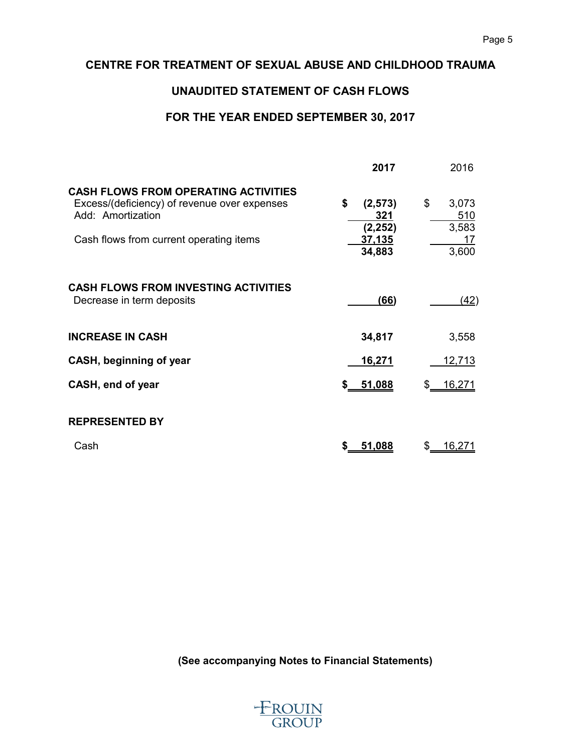# **UNAUDITED STATEMENT OF CASH FLOWS**

# **FOR THE YEAR ENDED SEPTEMBER 30, 2017**

|                                                                                                                                                             | 2017                                                  | 2016                                       |
|-------------------------------------------------------------------------------------------------------------------------------------------------------------|-------------------------------------------------------|--------------------------------------------|
| <b>CASH FLOWS FROM OPERATING ACTIVITIES</b><br>Excess/(deficiency) of revenue over expenses<br>Add: Amortization<br>Cash flows from current operating items | \$<br>(2, 573)<br>321<br>(2, 252)<br>37,135<br>34,883 | \$<br>3,073<br>510<br>3,583<br>17<br>3,600 |
| <b>CASH FLOWS FROM INVESTING ACTIVITIES</b><br>Decrease in term deposits                                                                                    | (66)                                                  | (42)                                       |
| <b>INCREASE IN CASH</b>                                                                                                                                     | 34,817                                                | 3,558                                      |
| CASH, beginning of year                                                                                                                                     | <u>16,271</u>                                         | 12,713                                     |
| CASH, end of year                                                                                                                                           | 51,088<br>\$                                          | 16,271                                     |
| <b>REPRESENTED BY</b>                                                                                                                                       |                                                       |                                            |
| Cash                                                                                                                                                        | 51,088<br>\$                                          | \$<br>16,271                               |

**(See accompanying Notes to Financial Statements)**

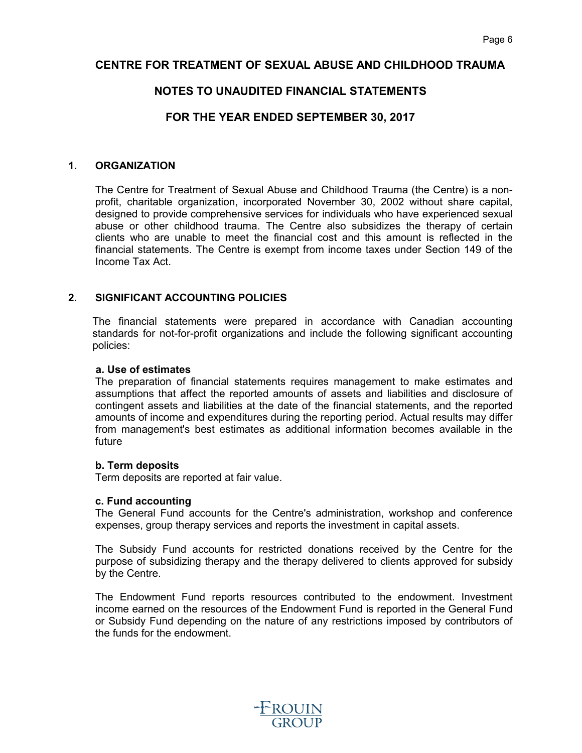# **NOTES TO UNAUDITED FINANCIAL STATEMENTS**

# **FOR THE YEAR ENDED SEPTEMBER 30, 2017**

#### **1. ORGANIZATION**

The Centre for Treatment of Sexual Abuse and Childhood Trauma (the Centre) is a nonprofit, charitable organization, incorporated November 30, 2002 without share capital, designed to provide comprehensive services for individuals who have experienced sexual abuse or other childhood trauma. The Centre also subsidizes the therapy of certain clients who are unable to meet the financial cost and this amount is reflected in the financial statements. The Centre is exempt from income taxes under Section 149 of the Income Tax Act.

#### **2. SIGNIFICANT ACCOUNTING POLICIES**

The financial statements were prepared in accordance with Canadian accounting standards for not-for-profit organizations and include the following significant accounting policies:

#### **a. Use of estimates**

The preparation of financial statements requires management to make estimates and assumptions that affect the reported amounts of assets and liabilities and disclosure of contingent assets and liabilities at the date of the financial statements, and the reported amounts of income and expenditures during the reporting period. Actual results may differ from management's best estimates as additional information becomes available in the future

#### **b. Term deposits**

Term deposits are reported at fair value.

#### **c. Fund accounting**

The General Fund accounts for the Centre's administration, workshop and conference expenses, group therapy services and reports the investment in capital assets.

The Subsidy Fund accounts for restricted donations received by the Centre for the purpose of subsidizing therapy and the therapy delivered to clients approved for subsidy by the Centre.

The Endowment Fund reports resources contributed to the endowment. Investment income earned on the resources of the Endowment Fund is reported in the General Fund or Subsidy Fund depending on the nature of any restrictions imposed by contributors of the funds for the endowment.

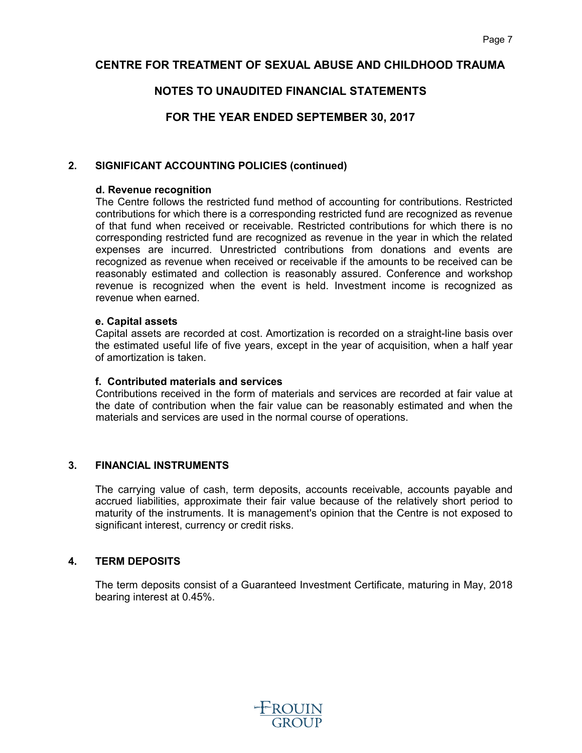# **NOTES TO UNAUDITED FINANCIAL STATEMENTS**

# **FOR THE YEAR ENDED SEPTEMBER 30, 2017**

#### **2. SIGNIFICANT ACCOUNTING POLICIES (continued)**

#### **d. Revenue recognition**

The Centre follows the restricted fund method of accounting for contributions. Restricted contributions for which there is a corresponding restricted fund are recognized as revenue of that fund when received or receivable. Restricted contributions for which there is no corresponding restricted fund are recognized as revenue in the year in which the related expenses are incurred. Unrestricted contributions from donations and events are recognized as revenue when received or receivable if the amounts to be received can be reasonably estimated and collection is reasonably assured. Conference and workshop revenue is recognized when the event is held. Investment income is recognized as revenue when earned.

#### **e. Capital assets**

Capital assets are recorded at cost. Amortization is recorded on a straight-line basis over the estimated useful life of five years, except in the year of acquisition, when a half year of amortization is taken.

#### **f. Contributed materials and services**

Contributions received in the form of materials and services are recorded at fair value at the date of contribution when the fair value can be reasonably estimated and when the materials and services are used in the normal course of operations.

#### **3. FINANCIAL INSTRUMENTS**

The carrying value of cash, term deposits, accounts receivable, accounts payable and accrued liabilities, approximate their fair value because of the relatively short period to maturity of the instruments. It is management's opinion that the Centre is not exposed to significant interest, currency or credit risks.

### **4. TERM DEPOSITS**

The term deposits consist of a Guaranteed Investment Certificate, maturing in May, 2018 bearing interest at 0.45%.

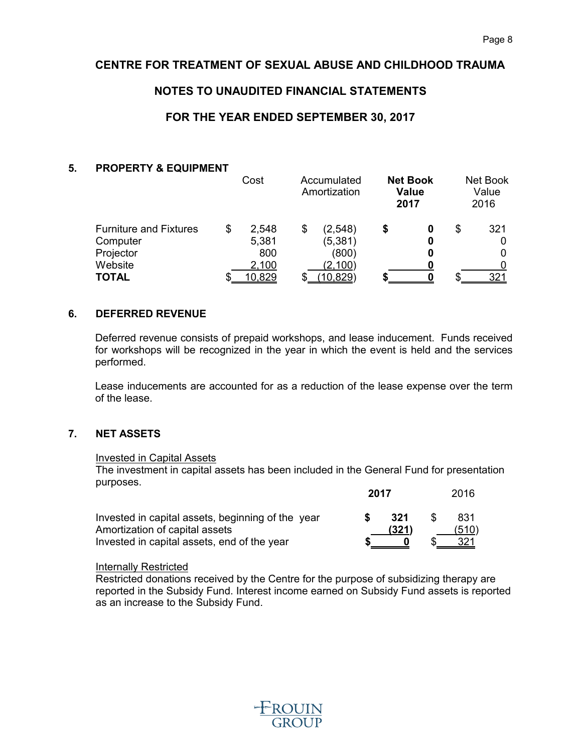# **NOTES TO UNAUDITED FINANCIAL STATEMENTS**

# **FOR THE YEAR ENDED SEPTEMBER 30, 2017**

#### **5. PROPERTY & EQUIPMENT**

|                               | Cost        | Accumulated<br>Amortization |   | <b>Net Book</b><br><b>Value</b><br>2017 |   | Net Book<br>Value<br>2016 |
|-------------------------------|-------------|-----------------------------|---|-----------------------------------------|---|---------------------------|
| <b>Furniture and Fixtures</b> | \$<br>2,548 | \$<br>(2,548)               | S | 0                                       | S | 321                       |
| Computer                      | 5,381       | (5,381)                     |   | 0                                       |   |                           |
| Projector                     | 800         | (800)                       |   | 0                                       |   | 0                         |
| Website                       | 2,100       | (2,100)                     |   | n                                       |   |                           |
| <b>TOTAL</b>                  | 10,829      | 10,829)                     |   | 0                                       |   | 321                       |

#### **6. DEFERRED REVENUE**

Deferred revenue consists of prepaid workshops, and lease inducement. Funds received for workshops will be recognized in the year in which the event is held and the services performed.

Lease inducements are accounted for as a reduction of the lease expense over the term of the lease.

#### **7. NET ASSETS**

#### Invested in Capital Assets

The investment in capital assets has been included in the General Fund for presentation purposes. **2017** 2016

|                                                   | 20 I I |       | ZUIU  |
|---------------------------------------------------|--------|-------|-------|
| Invested in capital assets, beginning of the year |        | 321   | 831   |
| Amortization of capital assets                    |        | (321) | (510) |
| Invested in capital assets, end of the year       |        |       | 321   |

#### Internally Restricted

Restricted donations received by the Centre for the purpose of subsidizing therapy are reported in the Subsidy Fund. Interest income earned on Subsidy Fund assets is reported as an increase to the Subsidy Fund.

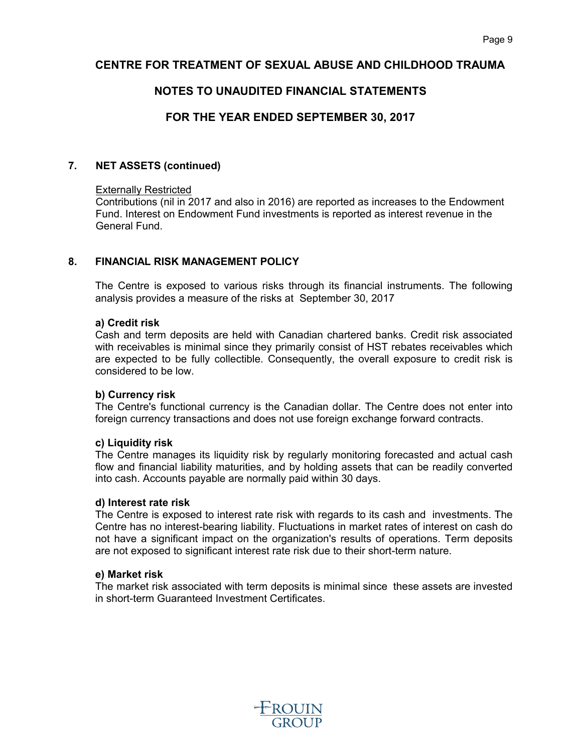# **NOTES TO UNAUDITED FINANCIAL STATEMENTS**

# **FOR THE YEAR ENDED SEPTEMBER 30, 2017**

#### **7. NET ASSETS (continued)**

#### Externally Restricted

Contributions (nil in 2017 and also in 2016) are reported as increases to the Endowment Fund. Interest on Endowment Fund investments is reported as interest revenue in the General Fund.

#### **8. FINANCIAL RISK MANAGEMENT POLICY**

The Centre is exposed to various risks through its financial instruments. The following analysis provides a measure of the risks at September 30, 2017

#### **a) Credit risk**

Cash and term deposits are held with Canadian chartered banks. Credit risk associated with receivables is minimal since they primarily consist of HST rebates receivables which are expected to be fully collectible. Consequently, the overall exposure to credit risk is considered to be low.

#### **b) Currency risk**

The Centre's functional currency is the Canadian dollar. The Centre does not enter into foreign currency transactions and does not use foreign exchange forward contracts.

#### **c) Liquidity risk**

The Centre manages its liquidity risk by regularly monitoring forecasted and actual cash flow and financial liability maturities, and by holding assets that can be readily converted into cash. Accounts payable are normally paid within 30 days.

#### **d) Interest rate risk**

The Centre is exposed to interest rate risk with regards to its cash and investments. The Centre has no interest-bearing liability. Fluctuations in market rates of interest on cash do not have a significant impact on the organization's results of operations. Term deposits are not exposed to significant interest rate risk due to their short-term nature.

#### **e) Market risk**

The market risk associated with term deposits is minimal since these assets are invested in short-term Guaranteed Investment Certificates.